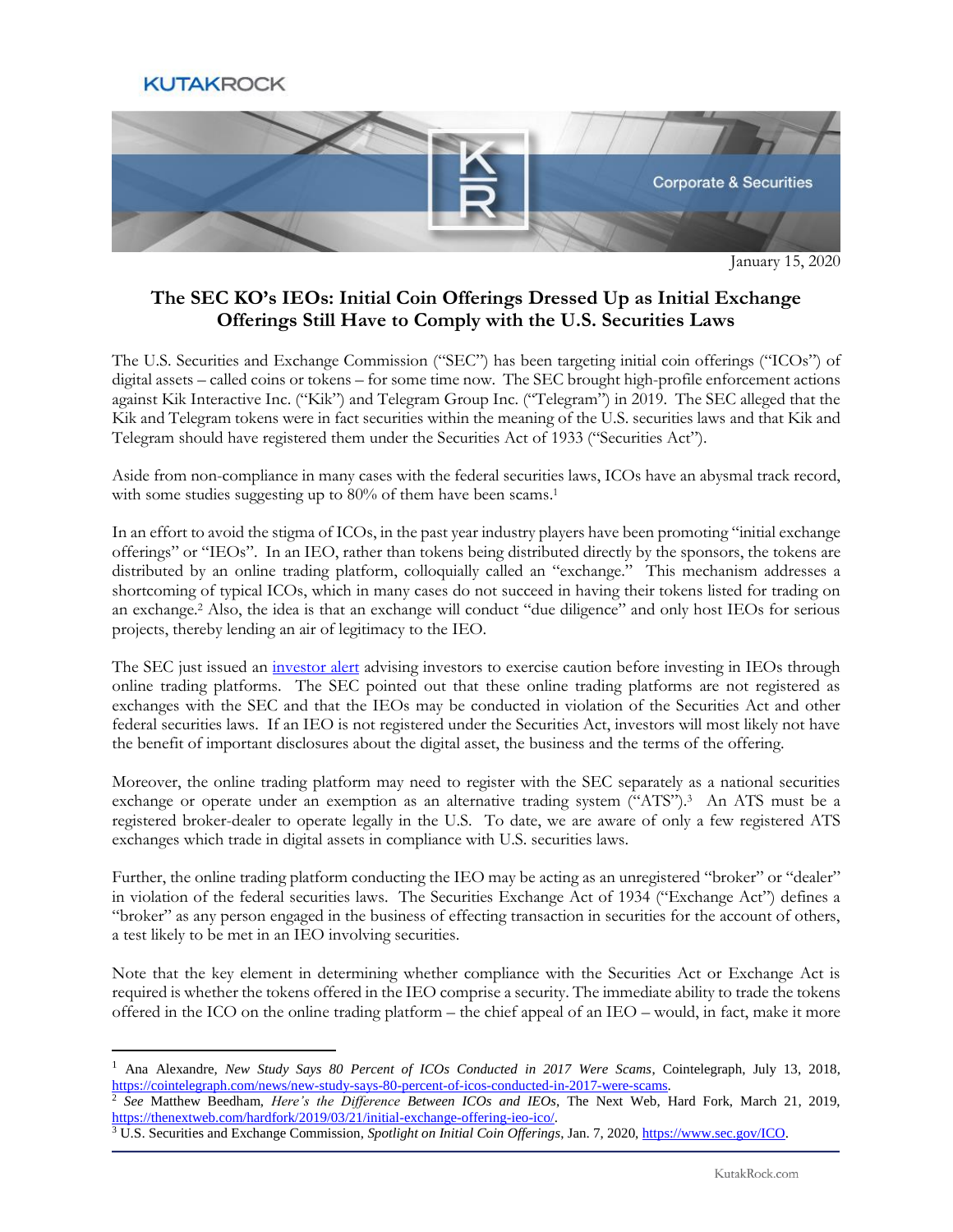

 $\overline{a}$ 



January 15, 2020

## **The SEC KO's IEOs: Initial Coin Offerings Dressed Up as Initial Exchange Offerings Still Have to Comply with the U.S. Securities Laws**

The U.S. Securities and Exchange Commission ("SEC") has been targeting initial coin offerings ("ICOs") of digital assets – called coins or tokens – for some time now. The SEC brought high-profile enforcement actions against Kik Interactive Inc. ("Kik") and Telegram Group Inc. ("Telegram") in 2019. The SEC alleged that the Kik and Telegram tokens were in fact securities within the meaning of the U.S. securities laws and that Kik and Telegram should have registered them under the Securities Act of 1933 ("Securities Act").

Aside from non-compliance in many cases with the federal securities laws, ICOs have an abysmal track record, with some studies suggesting up to 80% of them have been scams.<sup>1</sup>

In an effort to avoid the stigma of ICOs, in the past year industry players have been promoting "initial exchange offerings" or "IEOs". In an IEO, rather than tokens being distributed directly by the sponsors, the tokens are distributed by an online trading platform, colloquially called an "exchange." This mechanism addresses a shortcoming of typical ICOs, which in many cases do not succeed in having their tokens listed for trading on an exchange.<sup>2</sup> Also, the idea is that an exchange will conduct "due diligence" and only host IEOs for serious projects, thereby lending an air of legitimacy to the IEO.

The SEC just issued an [investor alert](https://www.sec.gov/oiea/investor-alerts-and-bulletins/ia_initialexchangeofferings) advising investors to exercise caution before investing in IEOs through online trading platforms. The SEC pointed out that these online trading platforms are not registered as exchanges with the SEC and that the IEOs may be conducted in violation of the Securities Act and other federal securities laws. If an IEO is not registered under the Securities Act, investors will most likely not have the benefit of important disclosures about the digital asset, the business and the terms of the offering.

Moreover, the online trading platform may need to register with the SEC separately as a national securities exchange or operate under an exemption as an alternative trading system ("ATS").<sup>3</sup> An ATS must be a registered broker-dealer to operate legally in the U.S. To date, we are aware of only a few registered ATS exchanges which trade in digital assets in compliance with U.S. securities laws.

Further, the online trading platform conducting the IEO may be acting as an unregistered "broker" or "dealer" in violation of the federal securities laws. The Securities Exchange Act of 1934 ("Exchange Act") defines a "broker" as any person engaged in the business of effecting transaction in securities for the account of others, a test likely to be met in an IEO involving securities.

Note that the key element in determining whether compliance with the Securities Act or Exchange Act is required is whether the tokens offered in the IEO comprise a security. The immediate ability to trade the tokens offered in the ICO on the online trading platform – the chief appeal of an IEO – would, in fact, make it more

<sup>2</sup> See Matthew Beedham, *Here's the Difference Between ICOs and IEOs*, The Next Web, Hard Fork, March 21, 2019, [https://thenextweb.com/hardfork/2019/03/21/initial-exchange-offering-ieo-ico/.](https://thenextweb.com/hardfork/2019/03/21/initial-exchange-offering-ieo-ico/)

<sup>&</sup>lt;sup>1</sup> Ana Alexandre, *New Study Says 80 Percent of ICOs Conducted in 2017 Were Scams*, Cointelegraph, July 13, 2018, [https://cointelegraph.com/news/new-study-says-80-percent-of-icos-conducted-in-2017-were-scams.](https://cointelegraph.com/news/new-study-says-80-percent-of-icos-conducted-in-2017-were-scams)

<sup>3</sup> U.S. Securities and Exchange Commission, *Spotlight on Initial Coin Offerings*, Jan. 7, 2020[, https://www.sec.gov/ICO.](https://www.sec.gov/ICO)